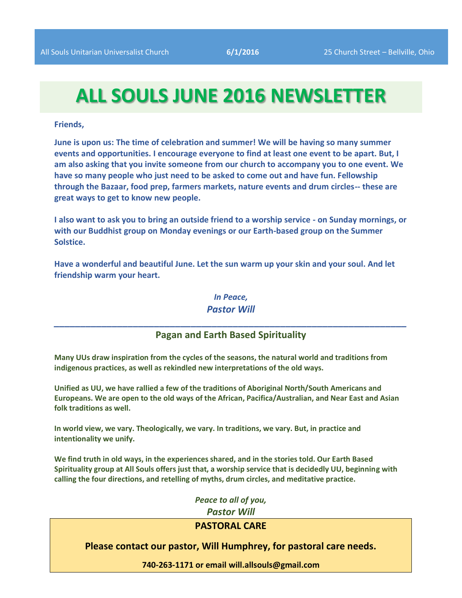# **ALL SOULS JUNE 2016 NEWSLETTER**

**Friends,**

**June is upon us: The time of celebration and summer! We will be having so many summer events and opportunities. I encourage everyone to find at least one event to be apart. But, I am also asking that you invite someone from our church to accompany you to one event. We have so many people who just need to be asked to come out and have fun. Fellowship through the Bazaar, food prep, farmers markets, nature events and drum circles-- these are great ways to get to know new people.**

**I also want to ask you to bring an outside friend to a worship service - on Sunday mornings, or with our Buddhist group on Monday evenings or our Earth-based group on the Summer Solstice.**

**Have a wonderful and beautiful June. Let the sun warm up your skin and your soul. And let friendship warm your heart.**

> *In Peace, Pastor Will*

## *\_\_\_\_\_\_\_\_\_\_\_\_\_\_\_\_\_\_\_\_\_\_\_\_\_\_\_\_\_\_\_\_\_\_\_\_\_\_\_\_\_\_\_\_\_\_\_\_\_\_\_\_\_\_\_\_\_\_\_\_\_\_\_\_\_\_\_* **Pagan and Earth Based Spirituality**

**Many UUs draw inspiration from the cycles of the seasons, the natural world and traditions from indigenous practices, as well as rekindled new interpretations of the old ways.**

**Unified as UU, we have rallied a few of the traditions of Aboriginal North/South Americans and Europeans. We are open to the old ways of the African, Pacifica/Australian, and Near East and Asian folk traditions as well.**

**In world view, we vary. Theologically, we vary. In traditions, we vary. But, in practice and intentionality we unify.**

**We find truth in old ways, in the experiences shared, and in the stories told. Our Earth Based Spirituality group at All Souls offers just that, a worship service that is decidedly UU, beginning with calling the four directions, and retelling of myths, drum circles, and meditative practice.**

> *Peace to all of you, Pastor Will*

## **PASTORAL CARE**

#### **Please contact our pastor, Will Humphrey, for pastoral care needs.**

**740-263-1171 or email will.allsouls@gmail.com**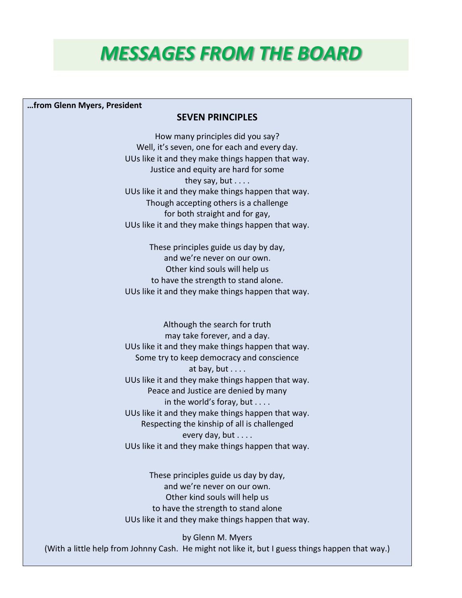# *MESSAGES FROM THE BOARD*

#### **…from Glenn Myers, President**

#### **SEVEN PRINCIPLES**

How many principles did you say? Well, it's seven, one for each and every day. UUs like it and they make things happen that way. Justice and equity are hard for some they say, but  $\dots$ . UUs like it and they make things happen that way. Though accepting others is a challenge for both straight and for gay, UUs like it and they make things happen that way.

These principles guide us day by day, and we're never on our own. Other kind souls will help us to have the strength to stand alone. UUs like it and they make things happen that way.

Although the search for truth may take forever, and a day. UUs like it and they make things happen that way. Some try to keep democracy and conscience at bay, but  $\dots$ . UUs like it and they make things happen that way. Peace and Justice are denied by many in the world's foray, but . . . . UUs like it and they make things happen that way. Respecting the kinship of all is challenged every day, but . . . . UUs like it and they make things happen that way.

These principles guide us day by day, and we're never on our own. Other kind souls will help us to have the strength to stand alone UUs like it and they make things happen that way.

by Glenn M. Myers (With a little help from Johnny Cash. He might not like it, but I guess things happen that way.)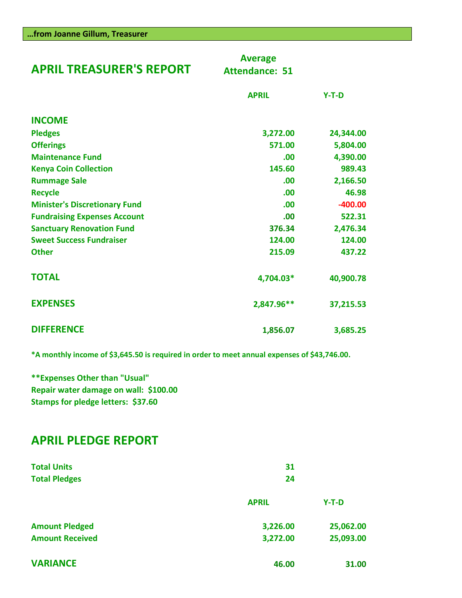| <b>APRIL TREASURER'S REPORT</b>      | <b>Average</b><br><b>Attendance: 51</b> |           |
|--------------------------------------|-----------------------------------------|-----------|
|                                      | <b>APRIL</b>                            | $Y-T-D$   |
| <b>INCOME</b>                        |                                         |           |
| <b>Pledges</b>                       | 3,272.00                                | 24,344.00 |
| <b>Offerings</b>                     | 571.00                                  | 5,804.00  |
| <b>Maintenance Fund</b>              | .00                                     | 4,390.00  |
| <b>Kenya Coin Collection</b>         | 145.60                                  | 989.43    |
| <b>Rummage Sale</b>                  | .00                                     | 2,166.50  |
| <b>Recycle</b>                       | .00                                     | 46.98     |
| <b>Minister's Discretionary Fund</b> | .00                                     | $-400.00$ |
| <b>Fundraising Expenses Account</b>  | .00                                     | 522.31    |
| <b>Sanctuary Renovation Fund</b>     | 376.34                                  | 2,476.34  |
| <b>Sweet Success Fundraiser</b>      | 124.00                                  | 124.00    |
| <b>Other</b>                         | 215.09                                  | 437.22    |
| <b>TOTAL</b>                         | 4,704.03*                               | 40,900.78 |
| <b>EXPENSES</b>                      | 2,847.96**                              | 37,215.53 |
| <b>DIFFERENCE</b>                    | 1,856.07                                | 3,685.25  |

**\*A monthly income of \$3,645.50 is required in order to meet annual expenses of \$43,746.00.**

**\*\*Expenses Other than "Usual" Repair water damage on wall: \$100.00 Stamps for pledge letters: \$37.60**

## **APRIL PLEDGE REPORT**

| <b>Total Units</b><br><b>Total Pledges</b> | 31<br>24     |           |
|--------------------------------------------|--------------|-----------|
|                                            | <b>APRIL</b> | $Y-T-D$   |
| <b>Amount Pledged</b>                      | 3,226.00     | 25,062.00 |
| <b>Amount Received</b>                     | 3,272.00     | 25,093.00 |
| <b>VARIANCE</b>                            | 46.00        | 31.00     |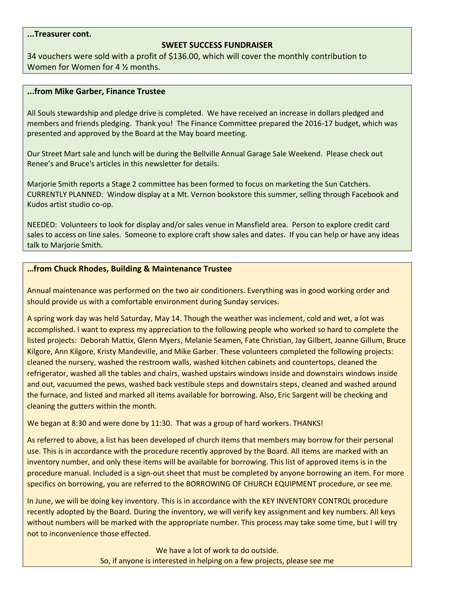#### **...Treasurer cont.**

#### **SWEET SUCCESS FUNDRAISER**

34 vouchers were sold with a profit of \$136.00, which will cover the monthly contribution to Women for Women for 4 ½ months.

#### **...from Mike Garber, Finance Trustee**

All Souls stewardship and pledge drive is completed. We have received an increase in dollars pledged and members and friends pledging. Thank you! The Finance Committee prepared the 2016-17 budget, which was presented and approved by the Board at the May board meeting.

Our Street Mart sale and lunch will be during the Bellville Annual Garage Sale Weekend. Please check out Renee's and Bruce's articles in this newsletter for details.

Marjorie Smith reports a Stage 2 committee has been formed to focus on marketing the Sun Catchers. CURRENTLY PLANNED: Window display at a Mt. Vernon bookstore this summer, selling through Facebook and Kudos artist studio co-op.

NEEDED: Volunteers to look for display and/or sales venue in Mansfield area. Person to explore credit card sales to access on line sales. Someone to explore craft show sales and dates. If you can help or have any ideas talk to Marjorie Smith.

#### **…from Chuck Rhodes, Building & Maintenance Trustee**

Annual maintenance was performed on the two air conditioners. Everything was in good working order and should provide us with a comfortable environment during Sunday services.

A spring work day was held Saturday, May 14. Though the weather was inclement, cold and wet, a lot was accomplished. I want to express my appreciation to the following people who worked so hard to complete the listed projects: Deborah Mattix, Glenn Myers, Melanie Seamen, Fate Christian, Jay Gilbert, Joanne Gillum, Bruce Kilgore, Ann Kilgore, Kristy Mandeville, and Mike Garber. These volunteers completed the following projects: cleaned the nursery, washed the restroom walls, washed kitchen cabinets and countertops, cleaned the refrigerator, washed all the tables and chairs, washed upstairs windows inside and downstairs windows inside and out, vacuumed the pews, washed back vestibule steps and downstairs steps, cleaned and washed around the furnace, and listed and marked all items available for borrowing. Also, Eric Sargent will be checking and cleaning the gutters within the month.

We began at 8:30 and were done by 11:30. That was a group of hard workers. THANKS!

As referred to above, a list has been developed of church items that members may borrow for their personal use. This is in accordance with the procedure recently approved by the Board. All items are marked with an inventory number, and only these items will be available for borrowing. This list of approved items is in the procedure manual. Included is a sign-out sheet that must be completed by anyone borrowing an item. For more specifics on borrowing, you are referred to the BORROWING OF CHURCH EQUIPMENT procedure, or see me.

In June, we will be doing key inventory. This is in accordance with the KEY INVENTORY CONTROL procedure recently adopted by the Board. During the inventory, we will verify key assignment and key numbers. All keys without numbers will be marked with the appropriate number. This process may take some time, but I will try not to inconvenience those effected.

> We have a lot of work to do outside. So, if anyone is interested in helping on a few projects, please see me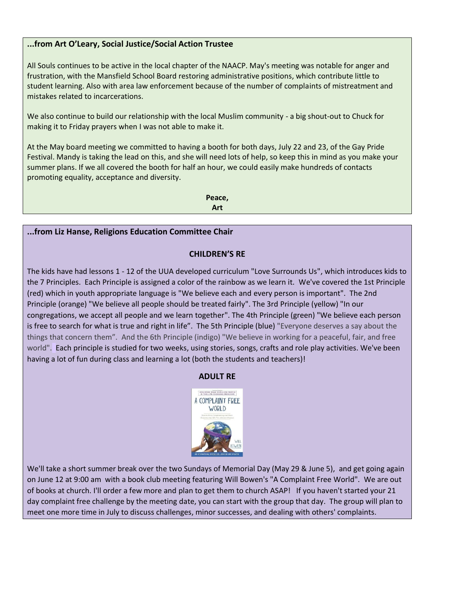#### **...from Art O'Leary, Social Justice/Social Action Trustee**

All Souls continues to be active in the local chapter of the NAACP. May's meeting was notable for anger and frustration, with the Mansfield School Board restoring administrative positions, which contribute little to student learning. Also with area law enforcement because of the number of complaints of mistreatment and mistakes related to incarcerations.

We also continue to build our relationship with the local Muslim community - a big shout-out to Chuck for making it to Friday prayers when I was not able to make it.

At the May board meeting we committed to having a booth for both days, July 22 and 23, of the Gay Pride Festival. Mandy is taking the lead on this, and she will need lots of help, so keep this in mind as you make your summer plans. If we all covered the booth for half an hour, we could easily make hundreds of contacts promoting equality, acceptance and diversity.

> **Peace, Art**

#### **...from Liz Hanse, Religions Education Committee Chair**

#### **CHILDREN'S RE**

The kids have had lessons 1 - 12 of the UUA developed curriculum "Love Surrounds Us", which introduces kids to the 7 Principles. Each Principle is assigned a color of the rainbow as we learn it. We've covered the 1st Principle (red) which in youth appropriate language is "We believe each and every person is important". The 2nd Principle (orange) "We believe all people should be treated fairly". The 3rd Principle (yellow) "In our congregations, we accept all people and we learn together". The 4th Principle (green) "We believe each person is free to search for what is true and right in life". The 5th Principle (blue) "Everyone deserves a say about the things that concern them". And the 6th Principle (indigo) "We believe in working for a peaceful, fair, and free world". Each principle is studied for two weeks, using stories, songs, crafts and role play activities. We've been having a lot of fun during class and learning a lot (both the students and teachers)!

#### **ADULT RE**



We'll take a short summer break over the two Sundays of Memorial Day (May 29 & June 5), and get going again on June 12 at 9:00 am with a book club meeting featuring Will Bowen's "A Complaint Free World". We are out of books at church. I'll order a few more and plan to get them to church ASAP! If you haven't started your 21 day complaint free challenge by the meeting date, you can start with the group that day. The group will plan to meet one more time in July to discuss challenges, minor successes, and dealing with others' complaints.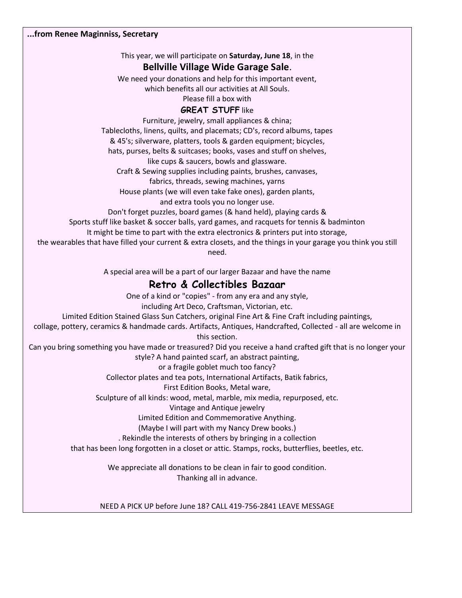This year, we will participate on **Saturday, June 18**, in the

#### **Bellville Village Wide Garage Sale**.

We need your donations and help for this important event,

which benefits all our activities at All Souls.

Please fill a box with

#### **GREAT STUFF like**

Furniture, jewelry, small appliances & china;

Tablecloths, linens, quilts, and placemats; CD's, record albums, tapes

& 45's; silverware, platters, tools & garden equipment; bicycles,

hats, purses, belts & suitcases; books, vases and stuff on shelves,

like cups & saucers, bowls and glassware.

Craft & Sewing supplies including paints, brushes, canvases,

fabrics, threads, sewing machines, yarns

House plants (we will even take fake ones), garden plants,

and extra tools you no longer use.

Don't forget puzzles, board games (& hand held), playing cards &

Sports stuff like basket & soccer balls, yard games, and racquets for tennis & badminton

It might be time to part with the extra electronics & printers put into storage,

the wearables that have filled your current & extra closets, and the things in your garage you think you still need.

A special area will be a part of our larger Bazaar and have the name

## **Retro & Collectibles Bazaar**

One of a kind or "copies" - from any era and any style, including Art Deco, Craftsman, Victorian, etc. Limited Edition Stained Glass Sun Catchers, original Fine Art & Fine Craft including paintings, collage, pottery, ceramics & handmade cards. Artifacts, Antiques, Handcrafted, Collected - all are welcome in this section. Can you bring something you have made or treasured? Did you receive a hand crafted gift that is no longer your style? A hand painted scarf, an abstract painting, or a fragile goblet much too fancy? Collector plates and tea pots, International Artifacts, Batik fabrics, First Edition Books, Metal ware, Sculpture of all kinds: wood, metal, marble, mix media, repurposed, etc. Vintage and Antique jewelry Limited Edition and Commemorative Anything. (Maybe I will part with my Nancy Drew books.) . Rekindle the interests of others by bringing in a collection that has been long forgotten in a closet or attic. Stamps, rocks, butterflies, beetles, etc. We appreciate all donations to be clean in fair to good condition. Thanking all in advance.

#### NEED A PICK UP before June 18? CALL 419-756-2841 LEAVE MESSAGE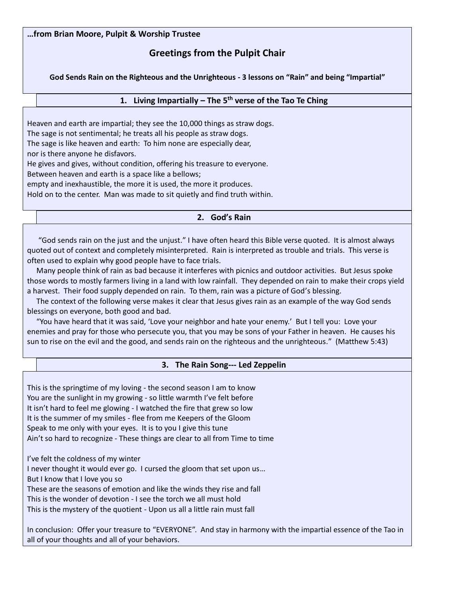#### **…from Brian Moore, Pulpit & Worship Trustee**

## **Greetings from the Pulpit Chair**

**God Sends Rain on the Righteous and the Unrighteous - 3 lessons on "Rain" and being "Impartial"**

#### **1. Living Impartially – The 5th verse of the Tao Te Ching**

Heaven and earth are impartial; they see the 10,000 things as straw dogs. The sage is not sentimental; he treats all his people as straw dogs. The sage is like heaven and earth: To him none are especially dear, nor is there anyone he disfavors. He gives and gives, without condition, offering his treasure to everyone. Between heaven and earth is a space like a bellows; empty and inexhaustible, the more it is used, the more it produces. Hold on to the center. Man was made to sit quietly and find truth within.

#### **2. God's Rain**

 "God sends rain on the just and the unjust." I have often heard this Bible verse quoted. It is almost always quoted out of context and completely misinterpreted. Rain is interpreted as trouble and trials. This verse is often used to explain why good people have to face trials.

 Many people think of rain as bad because it interferes with picnics and outdoor activities. But Jesus spoke those words to mostly farmers living in a land with low rainfall. They depended on rain to make their crops yield a harvest. Their food supply depended on rain. To them, rain was a picture of God's blessing.

 The context of the following verse makes it clear that Jesus gives rain as an example of the way God sends blessings on everyone, both good and bad.

 "You have heard that it was said, 'Love your neighbor and hate your enemy.' But I tell you: Love your enemies and pray for those who persecute you, that you may be sons of your Father in heaven. He causes his sun to rise on the evil and the good, and sends rain on the righteous and the unrighteous." (Matthew 5:43)

#### **3. The Rain Song--- Led Zeppelin**

This is the springtime of my loving - the second season I am to know You are the sunlight in my growing - so little warmth I've felt before It isn't hard to feel me glowing - I watched the fire that grew so low It is the summer of my smiles - flee from me Keepers of the Gloom Speak to me only with your eyes. It is to you I give this tune Ain't so hard to recognize - These things are clear to all from Time to time

I've felt the coldness of my winter

I never thought it would ever go. I cursed the gloom that set upon us…

But I know that I love you so

These are the seasons of emotion and like the winds they rise and fall

This is the wonder of devotion - I see the torch we all must hold

This is the mystery of the quotient - Upon us all a little rain must fall

In conclusion: Offer your treasure to "EVERYONE". And stay in harmony with the impartial essence of the Tao in all of your thoughts and all of your behaviors.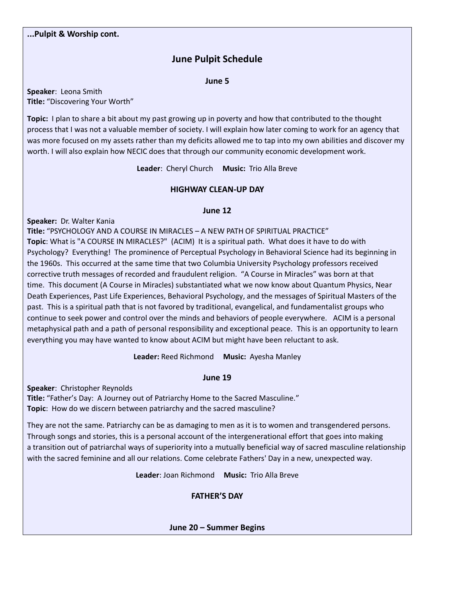## **June Pulpit Schedule**

**June 5**

**Speaker**: Leona Smith **Title:** "Discovering Your Worth"

**Topic:** I plan to share a bit about my past growing up in poverty and how that contributed to the thought process that I was not a valuable member of society. I will explain how later coming to work for an agency that was more focused on my assets rather than my deficits allowed me to tap into my own abilities and discover my worth. I will also explain how NECIC does that through our community economic development work.

**Leader**: Cheryl Church **Music:** Trio Alla Breve

#### **HIGHWAY CLEAN-UP DAY**

#### **June 12**

**Speaker:** Dr. Walter Kania

**Title:** "PSYCHOLOGY AND A COURSE IN MIRACLES – A NEW PATH OF SPIRITUAL PRACTICE" **Topic**: What is "A COURSE IN MIRACLES?" (ACIM) It is a spiritual path. What does it have to do with Psychology? Everything! The prominence of Perceptual Psychology in Behavioral Science had its beginning in the 1960s. This occurred at the same time that two Columbia University Psychology professors received corrective truth messages of recorded and fraudulent religion. "A Course in Miracles" was born at that time. This document (A Course in Miracles) substantiated what we now know about Quantum Physics, Near Death Experiences, Past Life Experiences, Behavioral Psychology, and the messages of Spiritual Masters of the past. This is a spiritual path that is not favored by traditional, evangelical, and fundamentalist groups who continue to seek power and control over the minds and behaviors of people everywhere. ACIM is a personal metaphysical path and a path of personal responsibility and exceptional peace. This is an opportunity to learn everything you may have wanted to know about ACIM but might have been reluctant to ask.

**Leader:** Reed Richmond **Music:** Ayesha Manley

**June 19**

**Speaker**: Christopher Reynolds

**Title:** "Father's Day: A Journey out of Patriarchy Home to the Sacred Masculine." **Topic**: How do we discern between patriarchy and the sacred masculine?

They are not the same. Patriarchy can be as damaging to men as it is to women and transgendered persons. Through songs and stories, this is a personal account of the intergenerational effort that goes into making a transition out of patriarchal ways of superiority into a mutually beneficial way of sacred masculine relationship with the sacred feminine and all our relations. Come celebrate Fathers' Day in a new, unexpected way.

**Leader**: Joan Richmond **Music:** Trio Alla Breve

**FATHER'S DAY**

**June 20 – Summer Begins**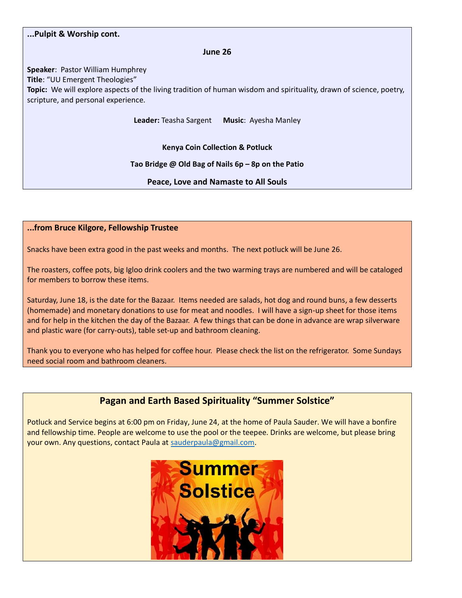#### **...Pulpit & Worship cont.**

**June 26**

**Speaker**: Pastor William Humphrey **Title**: "UU Emergent Theologies" **Topic:** We will explore aspects of the living tradition of human wisdom and spirituality, drawn of science, poetry, scripture, and personal experience.

**Leader:** Teasha Sargent **Music**: Ayesha Manley

**Kenya Coin Collection & Potluck**

#### **Tao Bridge @ Old Bag of Nails 6p – 8p on the Patio**

**Peace, Love and Namaste to All Souls**

#### **...from Bruce Kilgore, Fellowship Trustee**

Snacks have been extra good in the past weeks and months. The next potluck will be June 26.

The roasters, coffee pots, big Igloo drink coolers and the two warming trays are numbered and will be cataloged for members to borrow these items.

Saturday, June 18, is the date for the Bazaar. Items needed are salads, hot dog and round buns, a few desserts (homemade) and monetary donations to use for meat and noodles. I will have a sign-up sheet for those items and for help in the kitchen the day of the Bazaar. A few things that can be done in advance are wrap silverware and plastic ware (for carry-outs), table set-up and bathroom cleaning.

Thank you to everyone who has helped for coffee hour. Please check the list on the refrigerator. Some Sundays need social room and bathroom cleaners.

## **Pagan and Earth Based Spirituality "Summer Solstice"**

Potluck and Service begins at 6:00 pm on Friday, June 24, at the home of Paula Sauder. We will have a bonfire and fellowship time. People are welcome to use the pool or the teepee. Drinks are welcome, but please bring your own. Any questions, contact Paula at [sauderpaula@gmail.com.](mailto:sauderpaula@gmail.com)

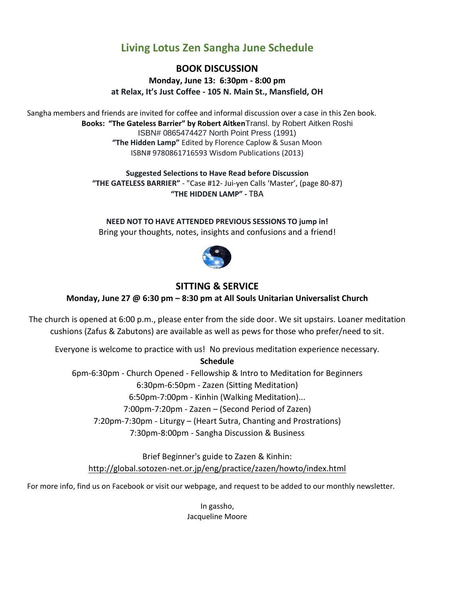## **Living Lotus Zen Sangha June Schedule**

**BOOK DISCUSSION Monday, June 13: 6:30pm - 8:00 pm at Relax, It's Just Coffee - 105 N. Main St., Mansfield, OH**

Sangha members and friends are invited for coffee and informal discussion over a case in this Zen book. **Books: "The Gateless Barrier" by Robert Aitken**Transl. by Robert Aitken Roshi ISBN# 0865474427 North Point Press (1991) **"The Hidden Lamp"** Edited by Florence Caplow & Susan Moon ISBN# 9780861716593 Wisdom Publications (2013)

> **Suggested Selections to Have Read before Discussion "THE GATELESS BARRIER"** - "Case #12- Jui-yen Calls 'Master', (page 80-87) **"THE HIDDEN LAMP" -** TBA

**NEED NOT TO HAVE ATTENDED PREVIOUS SESSIONS TO jump in!** Bring your thoughts, notes, insights and confusions and a friend!



### **SITTING & SERVICE**

**Monday, June 27 @ 6:30 pm – 8:30 pm at All Souls Unitarian Universalist Church**

The church is opened at 6:00 p.m., please enter from the side door. We sit upstairs. Loaner meditation cushions (Zafus & Zabutons) are available as well as pews for those who prefer/need to sit.

Everyone is welcome to practice with us! No previous meditation experience necessary.

**Schedule**

6pm-6:30pm - Church Opened - Fellowship & Intro to Meditation for Beginners

6:30pm-6:50pm - Zazen (Sitting Meditation)

6:50pm-7:00pm - Kinhin (Walking Meditation)...

7:00pm-7:20pm - Zazen – (Second Period of Zazen)

7:20pm-7:30pm - Liturgy – (Heart Sutra, Chanting and Prostrations)

7:30pm-8:00pm - Sangha Discussion & Business

Brief Beginner's guide to Zazen & Kinhin: [http://global.sotozen-net.or.jp/eng/practice/zazen/howto/index.html](http://l.facebook.com/?u=http%3A%2F%2Fglobal.sotozen-net.or.jp%2Feng%2Fpractice%2Fzazen%2Fhowto%2Findex.html&e=ATOXqawJM1--9N9v8oPw8oyhjopfFmZVyt2JFfRZL-qFiiYq8uBExuSIEUOSpg)

For more info, find us on Facebook or visit our webpage, and request to be added to our monthly newsletter.

In gassho, Jacqueline Moore